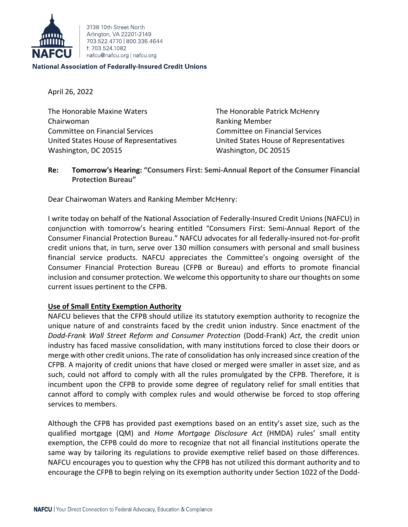

3138 10th Street North Arlington, VA 22201-2149 703 522 4770 800 336 4644 f: 703.524.1082 nafcu@nafcu.org | nafcu.org

#### **National Association of Federally-Insured Credit Unions**

April 26, 2022

The Honorable Maxine Waters The Honorable Patrick McHenry Chairwoman **Ranking Member** Ranking Member Committee on Financial Services Committee on Financial Services United States House of Representatives United States House of Representatives Washington, DC 20515 Washington, DC 20515

# **Re: Tomorrow's Hearing: "Consumers First: Semi-Annual Report of the Consumer Financial Protection Bureau"**

Dear Chairwoman Waters and Ranking Member McHenry:

I write today on behalf of the National Association of Federally-Insured Credit Unions (NAFCU) in conjunction with tomorrow's hearing entitled "Consumers First: Semi-Annual Report of the Consumer Financial Protection Bureau." NAFCU advocates for all federally-insured not-for-profit credit unions that, in turn, serve over 130 million consumers with personal and small business financial service products. NAFCU appreciates the Committee's ongoing oversight of the Consumer Financial Protection Bureau (CFPB or Bureau) and efforts to promote financial inclusion and consumer protection. We welcome this opportunity to share our thoughts on some current issues pertinent to the CFPB.

# **Use of Small Entity Exemption Authority**

NAFCU believes that the CFPB should utilize its statutory exemption authority to recognize the unique nature of and constraints faced by the credit union industry. Since enactment of the *Dodd-Frank Wall Street Reform and Consumer Protection* (Dodd-Frank) *Act*, the credit union industry has faced massive consolidation, with many institutions forced to close their doors or merge with other credit unions. The rate of consolidation has only increased since creation of the CFPB. A majority of credit unions that have closed or merged were smaller in asset size, and as such, could not afford to comply with all the rules promulgated by the CFPB. Therefore, it is incumbent upon the CFPB to provide some degree of regulatory relief for small entities that cannot afford to comply with complex rules and would otherwise be forced to stop offering services to members.

Although the CFPB has provided past exemptions based on an entity's asset size, such as the qualified mortgage (QM) and *Home Mortgage Disclosure Act* (HMDA) rules' small entity exemption, the CFPB could do more to recognize that not all financial institutions operate the same way by tailoring its regulations to provide exemptive relief based on those differences. NAFCU encourages you to question why the CFPB has not utilized this dormant authority and to encourage the CFPB to begin relying on its exemption authority under Section 1022 of the Dodd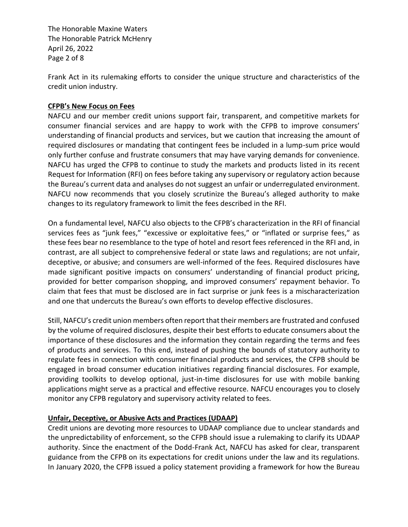The Honorable Maxine Waters The Honorable Patrick McHenry April 26, 2022 Page 2 of 8

Frank Act in its rulemaking efforts to consider the unique structure and characteristics of the credit union industry.

### **CFPB's New Focus on Fees**

NAFCU and our member credit unions support fair, transparent, and competitive markets for consumer financial services and are happy to work with the CFPB to improve consumers' understanding of financial products and services, but we caution that increasing the amount of required disclosures or mandating that contingent fees be included in a lump-sum price would only further confuse and frustrate consumers that may have varying demands for convenience. NAFCU has urged the CFPB to continue to study the markets and products listed in its recent Request for Information (RFI) on fees before taking any supervisory or regulatory action because the Bureau's current data and analyses do not suggest an unfair or underregulated environment. NAFCU now recommends that you closely scrutinize the Bureau's alleged authority to make changes to its regulatory framework to limit the fees described in the RFI.

On a fundamental level, NAFCU also objects to the CFPB's characterization in the RFI of financial services fees as "junk fees," "excessive or exploitative fees," or "inflated or surprise fees," as these fees bear no resemblance to the type of hotel and resort fees referenced in the RFI and, in contrast, are all subject to comprehensive federal or state laws and regulations; are not unfair, deceptive, or abusive; and consumers are well-informed of the fees. Required disclosures have made significant positive impacts on consumers' understanding of financial product pricing, provided for better comparison shopping, and improved consumers' repayment behavior. To claim that fees that must be disclosed are in fact surprise or junk fees is a mischaracterization and one that undercuts the Bureau's own efforts to develop effective disclosures.

Still, NAFCU's credit union members often report that their members are frustrated and confused by the volume of required disclosures, despite their best efforts to educate consumers about the importance of these disclosures and the information they contain regarding the terms and fees of products and services. To this end, instead of pushing the bounds of statutory authority to regulate fees in connection with consumer financial products and services, the CFPB should be engaged in broad consumer education initiatives regarding financial disclosures. For example, providing toolkits to develop optional, just-in-time disclosures for use with mobile banking applications might serve as a practical and effective resource. NAFCU encourages you to closely monitor any CFPB regulatory and supervisory activity related to fees.

# **Unfair, Deceptive, or Abusive Acts and Practices (UDAAP)**

Credit unions are devoting more resources to UDAAP compliance due to unclear standards and the unpredictability of enforcement, so the CFPB should issue a rulemaking to clarify its UDAAP authority. Since the enactment of the Dodd-Frank Act, NAFCU has asked for clear, transparent guidance from the CFPB on its expectations for credit unions under the law and its regulations. In January 2020, the CFPB issued a policy statement providing a framework for how the Bureau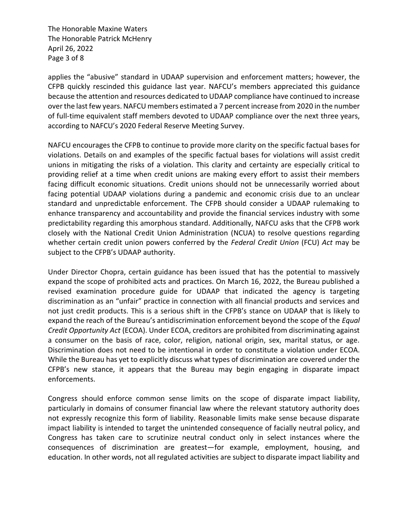The Honorable Maxine Waters The Honorable Patrick McHenry April 26, 2022 Page 3 of 8

applies the "abusive" standard in UDAAP supervision and enforcement matters; however, the CFPB quickly rescinded this guidance last year. NAFCU's members appreciated this guidance because the attention and resources dedicated to UDAAP compliance have continued to increase over the last few years. NAFCU members estimated a 7 percent increase from 2020 in the number of full-time equivalent staff members devoted to UDAAP compliance over the next three years, according to NAFCU's 2020 Federal Reserve Meeting Survey.

NAFCU encourages the CFPB to continue to provide more clarity on the specific factual bases for violations. Details on and examples of the specific factual bases for violations will assist credit unions in mitigating the risks of a violation. This clarity and certainty are especially critical to providing relief at a time when credit unions are making every effort to assist their members facing difficult economic situations. Credit unions should not be unnecessarily worried about facing potential UDAAP violations during a pandemic and economic crisis due to an unclear standard and unpredictable enforcement. The CFPB should consider a UDAAP rulemaking to enhance transparency and accountability and provide the financial services industry with some predictability regarding this amorphous standard. Additionally, NAFCU asks that the CFPB work closely with the National Credit Union Administration (NCUA) to resolve questions regarding whether certain credit union powers conferred by the *Federal Credit Union* (FCU) *Act* may be subject to the CFPB's UDAAP authority.

Under Director Chopra, certain guidance has been issued that has the potential to massively expand the scope of prohibited acts and practices. On March 16, 2022, the Bureau published a revised examination procedure guide for UDAAP that indicated the agency is targeting discrimination as an "unfair" practice in connection with all financial products and services and not just credit products. This is a serious shift in the CFPB's stance on UDAAP that is likely to expand the reach of the Bureau's antidiscrimination enforcement beyond the scope of the *Equal Credit Opportunity Act* (ECOA). Under ECOA, creditors are prohibited from discriminating against a consumer on the basis of race, color, religion, national origin, sex, marital status, or age. Discrimination does not need to be intentional in order to constitute a violation under ECOA. While the Bureau has yet to explicitly discuss what types of discrimination are covered under the CFPB's new stance, it appears that the Bureau may begin engaging in disparate impact enforcements.

Congress should enforce common sense limits on the scope of disparate impact liability, particularly in domains of consumer financial law where the relevant statutory authority does not expressly recognize this form of liability. Reasonable limits make sense because disparate impact liability is intended to target the unintended consequence of facially neutral policy, and Congress has taken care to scrutinize neutral conduct only in select instances where the consequences of discrimination are greatest—for example, employment, housing, and education. In other words, not all regulated activities are subject to disparate impact liability and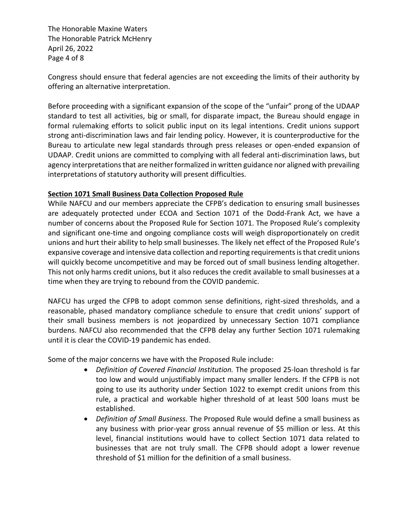The Honorable Maxine Waters The Honorable Patrick McHenry April 26, 2022 Page 4 of 8

Congress should ensure that federal agencies are not exceeding the limits of their authority by offering an alternative interpretation.

Before proceeding with a significant expansion of the scope of the "unfair" prong of the UDAAP standard to test all activities, big or small, for disparate impact, the Bureau should engage in formal rulemaking efforts to solicit public input on its legal intentions. Credit unions support strong anti-discrimination laws and fair lending policy. However, it is counterproductive for the Bureau to articulate new legal standards through press releases or open-ended expansion of UDAAP. Credit unions are committed to complying with all federal anti-discrimination laws, but agency interpretations that are neither formalized in written guidance nor aligned with prevailing interpretations of statutory authority will present difficulties.

### **Section 1071 Small Business Data Collection Proposed Rule**

While NAFCU and our members appreciate the CFPB's dedication to ensuring small businesses are adequately protected under ECOA and Section 1071 of the Dodd-Frank Act, we have a number of concerns about the Proposed Rule for Section 1071. The Proposed Rule's complexity and significant one-time and ongoing compliance costs will weigh disproportionately on credit unions and hurt their ability to help small businesses. The likely net effect of the Proposed Rule's expansive coverage and intensive data collection and reporting requirements is that credit unions will quickly become uncompetitive and may be forced out of small business lending altogether. This not only harms credit unions, but it also reduces the credit available to small businesses at a time when they are trying to rebound from the COVID pandemic.

NAFCU has urged the CFPB to adopt common sense definitions, right-sized thresholds, and a reasonable, phased mandatory compliance schedule to ensure that credit unions' support of their small business members is not jeopardized by unnecessary Section 1071 compliance burdens. NAFCU also recommended that the CFPB delay any further Section 1071 rulemaking until it is clear the COVID-19 pandemic has ended.

Some of the major concerns we have with the Proposed Rule include:

- *Definition of Covered Financial Institution.* The proposed 25-loan threshold is far too low and would unjustifiably impact many smaller lenders. If the CFPB is not going to use its authority under Section 1022 to exempt credit unions from this rule, a practical and workable higher threshold of at least 500 loans must be established.
- *Definition of Small Business.* The Proposed Rule would define a small business as any business with prior-year gross annual revenue of \$5 million or less. At this level, financial institutions would have to collect Section 1071 data related to businesses that are not truly small. The CFPB should adopt a lower revenue threshold of \$1 million for the definition of a small business.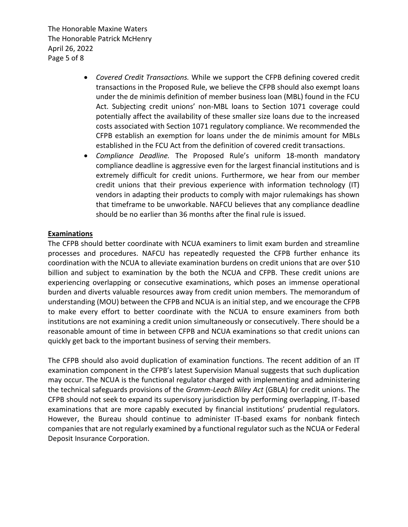The Honorable Maxine Waters The Honorable Patrick McHenry April 26, 2022 Page 5 of 8

- *Covered Credit Transactions.* While we support the CFPB defining covered credit transactions in the Proposed Rule, we believe the CFPB should also exempt loans under the de minimis definition of member business loan (MBL) found in the FCU Act. Subjecting credit unions' non-MBL loans to Section 1071 coverage could potentially affect the availability of these smaller size loans due to the increased costs associated with Section 1071 regulatory compliance. We recommended the CFPB establish an exemption for loans under the de minimis amount for MBLs established in the FCU Act from the definition of covered credit transactions.
- *Compliance Deadline.* The Proposed Rule's uniform 18-month mandatory compliance deadline is aggressive even for the largest financial institutions and is extremely difficult for credit unions. Furthermore, we hear from our member credit unions that their previous experience with information technology (IT) vendors in adapting their products to comply with major rulemakings has shown that timeframe to be unworkable. NAFCU believes that any compliance deadline should be no earlier than 36 months after the final rule is issued.

### **Examinations**

The CFPB should better coordinate with NCUA examiners to limit exam burden and streamline processes and procedures. NAFCU has repeatedly requested the CFPB further enhance its coordination with the NCUA to alleviate examination burdens on credit unions that are over \$10 billion and subject to examination by the both the NCUA and CFPB. These credit unions are experiencing overlapping or consecutive examinations, which poses an immense operational burden and diverts valuable resources away from credit union members. The memorandum of understanding (MOU) between the CFPB and NCUA is an initial step, and we encourage the CFPB to make every effort to better coordinate with the NCUA to ensure examiners from both institutions are not examining a credit union simultaneously or consecutively. There should be a reasonable amount of time in between CFPB and NCUA examinations so that credit unions can quickly get back to the important business of serving their members.

The CFPB should also avoid duplication of examination functions. The recent addition of an IT examination component in the CFPB's latest Supervision Manual suggests that such duplication may occur. The NCUA is the functional regulator charged with implementing and administering the technical safeguards provisions of the *Gramm-Leach Bliley Act* (GBLA) for credit unions. The CFPB should not seek to expand its supervisory jurisdiction by performing overlapping, IT-based examinations that are more capably executed by financial institutions' prudential regulators. However, the Bureau should continue to administer IT-based exams for nonbank fintech companies that are not regularly examined by a functional regulator such as the NCUA or Federal Deposit Insurance Corporation.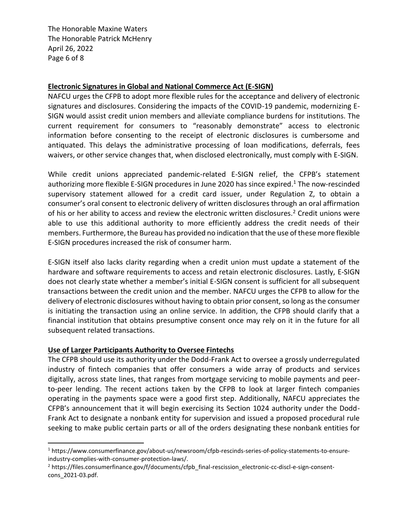The Honorable Maxine Waters The Honorable Patrick McHenry April 26, 2022 Page 6 of 8

### **Electronic Signatures in Global and National Commerce Act (E-SIGN)**

NAFCU urges the CFPB to adopt more flexible rules for the acceptance and delivery of electronic signatures and disclosures. Considering the impacts of the COVID-19 pandemic, modernizing E-SIGN would assist credit union members and alleviate compliance burdens for institutions. The current requirement for consumers to "reasonably demonstrate" access to electronic information before consenting to the receipt of electronic disclosures is cumbersome and antiquated. This delays the administrative processing of loan modifications, deferrals, fees waivers, or other service changes that, when disclosed electronically, must comply with E-SIGN.

While credit unions appreciated pandemic-related E-SIGN relief, the CFPB's statement authorizing more flexible E-SIGN procedures in June 2020 has since expired. <sup>1</sup> The now-rescinded supervisory statement allowed for a credit card issuer, under Regulation Z, to obtain a consumer's oral consent to electronic delivery of written disclosures through an oral affirmation of his or her ability to access and review the electronic written disclosures.<sup>2</sup> Credit unions were able to use this additional authority to more efficiently address the credit needs of their members. Furthermore, the Bureau has provided no indication that the use of these more flexible E-SIGN procedures increased the risk of consumer harm.

E-SIGN itself also lacks clarity regarding when a credit union must update a statement of the hardware and software requirements to access and retain electronic disclosures. Lastly, E-SIGN does not clearly state whether a member's initial E-SIGN consent is sufficient for all subsequent transactions between the credit union and the member. NAFCU urges the CFPB to allow for the delivery of electronic disclosures without having to obtain prior consent, so long as the consumer is initiating the transaction using an online service. In addition, the CFPB should clarify that a financial institution that obtains presumptive consent once may rely on it in the future for all subsequent related transactions.

### **Use of Larger Participants Authority to Oversee Fintechs**

The CFPB should use its authority under the Dodd-Frank Act to oversee a grossly underregulated industry of fintech companies that offer consumers a wide array of products and services digitally, across state lines, that ranges from mortgage servicing to mobile payments and peerto-peer lending. The recent actions taken by the CFPB to look at larger fintech companies operating in the payments space were a good first step. Additionally, NAFCU appreciates the CFPB's announcement that it will begin exercising its Section 1024 authority under the Dodd-Frank Act to designate a nonbank entity for supervision and issued a proposed procedural rule seeking to make public certain parts or all of the orders designating these nonbank entities for

<sup>1</sup> https://www.consumerfinance.gov/about-us/newsroom/cfpb-rescinds-series-of-policy-statements-to-ensureindustry-complies-with-consumer-protection-laws/.

<sup>&</sup>lt;sup>2</sup> https://files.consumerfinance.gov/f/documents/cfpb\_final-rescission\_electronic-cc-discl-e-sign-consentcons\_2021-03.pdf.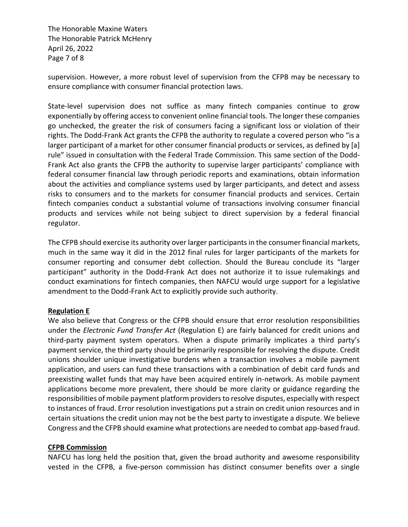The Honorable Maxine Waters The Honorable Patrick McHenry April 26, 2022 Page 7 of 8

supervision. However, a more robust level of supervision from the CFPB may be necessary to ensure compliance with consumer financial protection laws.

State-level supervision does not suffice as many fintech companies continue to grow exponentially by offering access to convenient online financial tools. The longer these companies go unchecked, the greater the risk of consumers facing a significant loss or violation of their rights. The Dodd-Frank Act grants the CFPB the authority to regulate a covered person who "is a larger participant of a market for other consumer financial products or services, as defined by [a] rule" issued in consultation with the Federal Trade Commission. This same section of the Dodd-Frank Act also grants the CFPB the authority to supervise larger participants' compliance with federal consumer financial law through periodic reports and examinations, obtain information about the activities and compliance systems used by larger participants, and detect and assess risks to consumers and to the markets for consumer financial products and services. Certain fintech companies conduct a substantial volume of transactions involving consumer financial products and services while not being subject to direct supervision by a federal financial regulator.

The CFPB should exercise its authority over larger participants in the consumer financial markets, much in the same way it did in the 2012 final rules for larger participants of the markets for consumer reporting and consumer debt collection. Should the Bureau conclude its "larger participant" authority in the Dodd-Frank Act does not authorize it to issue rulemakings and conduct examinations for fintech companies, then NAFCU would urge support for a legislative amendment to the Dodd-Frank Act to explicitly provide such authority.

### **Regulation E**

We also believe that Congress or the CFPB should ensure that error resolution responsibilities under the *Electronic Fund Transfer Act* (Regulation E) are fairly balanced for credit unions and third-party payment system operators. When a dispute primarily implicates a third party's payment service, the third party should be primarily responsible for resolving the dispute. Credit unions shoulder unique investigative burdens when a transaction involves a mobile payment application, and users can fund these transactions with a combination of debit card funds and preexisting wallet funds that may have been acquired entirely in-network. As mobile payment applications become more prevalent, there should be more clarity or guidance regarding the responsibilities of mobile payment platform providers to resolve disputes, especially with respect to instances of fraud. Error resolution investigations put a strain on credit union resources and in certain situations the credit union may not be the best party to investigate a dispute. We believe Congress and the CFPB should examine what protections are needed to combat app-based fraud.

# **CFPB Commission**

NAFCU has long held the position that, given the broad authority and awesome responsibility vested in the CFPB, a five-person commission has distinct consumer benefits over a single